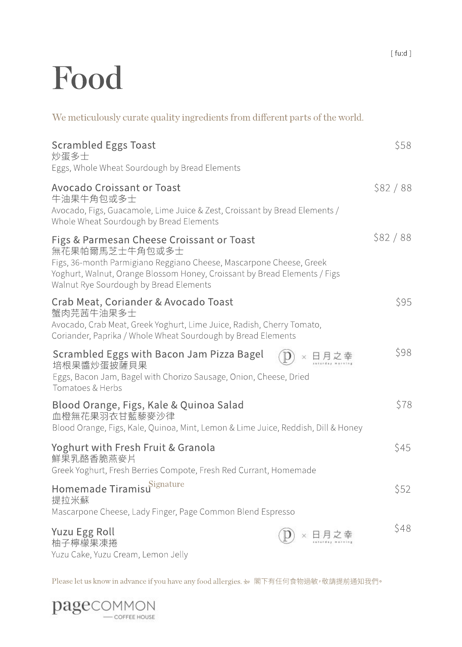# Food

Homemade Tiramisu Signature and the settlement of the S52 states of the S52 states of the S52 states of the S52 提拉米蘇 Mascarpone Cheese, Lady Finger, Page Common Blend Espresso Yoghurt with Fresh Fruit & Granola  $$45$ 鮮果乳酪香脆燕麥片 Greek Yoghurt, Fresh Berries Compote, Fresh Red Currant, Homemade Blood Orange, Figs, Kale & Quinoa Salad  $$78$ 血橙無花果羽衣甘藍藜麥沙律 Blood Orange, Figs, Kale, Quinoa, Mint, Lemon & Lime Juice, Reddish, Dill & Honey ScrambledEggswithBaconJamPizzaBagel \$98 培根果醬炒蛋披薩貝果 Eggs, Bacon Jam, Bagel with Chorizo Sausage, Onion, Cheese, Dried Tomatoes&Herbs Crab Meat, Coriander & Avocado Toast  $\sim$  \$95 蟹肉芫茜牛油果多士 Avocado, Crab Meat, Greek Yoghurt, Lime Juice, Radish, Cherry Tomato, Coriander, Paprika / Whole Wheat Sourdough by Bread Elements Figs & Parmesan Cheese Croissant or Toast **\$82/88** 無花果帕爾馬芝士牛角包或多士 Figs, 36-month Parmigiano Reggiano Cheese, Mascarpone Cheese, Greek Yoghurt, Walnut, Orange Blossom Honey, Croissant by Bread Elements / Figs Walnut Rye Sourdough by Bread Elements Avocado Croissant or Toast \$82 / 88 牛油果牛角包或多士 Avocado, Figs, Guacamole, Lime Juice & Zest, Croissant by Bread Elements / Whole Wheat Sourdough by Bread Elements Scrambled Eggs Toast \$58 炒蛋多士 Eggs, Whole Wheat Sourdough by Bread Elements We meticulously curate quality ingredients from different parts of the world.

Yuzu Egg Roll  $\left(\widehat{\mathbf{p}}\right) \times \mathbf{H} \mathbf{\mu} \mathbf{\Sigma} \triangleq 48$ 柚子檸檬果凍捲 Yuzu Cake, Yuzu Cream, Lemon Jelly

Please let us know in advance if you have any food allergies. 如 閣下有任何食物過敏, 敬請提前通知我們。

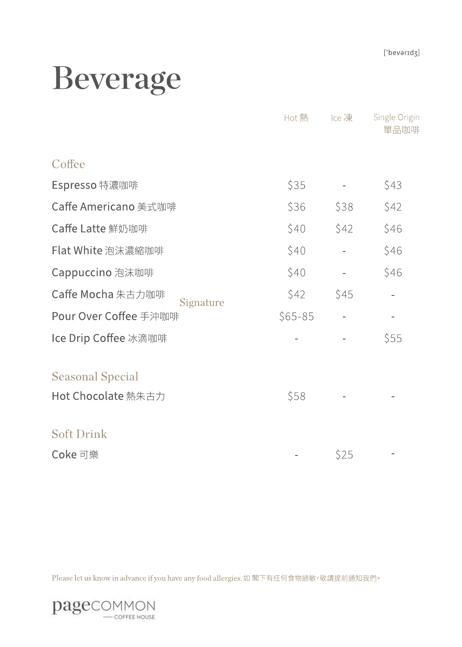## Beverage

|                                | Hot 熱      | Ice 凍 | Single Origin<br>單品咖啡 |
|--------------------------------|------------|-------|-----------------------|
| Coffee                         |            |       |                       |
| Espresso特濃咖啡                   | \$35       |       | \$43                  |
| Caffe Americano 美式咖啡           | \$36       | \$38  | \$42                  |
| Caffe Latte 鮮奶咖啡               | \$40       | \$42  | \$46                  |
| Flat White 泡沫濃縮咖啡              | \$40       |       | \$46                  |
| Cappuccino 泡沫咖啡                | \$40       |       | \$46                  |
| Caffe Mocha 朱古力咖啡<br>Signature | \$42       | \$45  |                       |
| Pour Over Coffee 手沖咖啡          | $$65 - 85$ |       | $\sim$                |
| Ice Drip Coffee 冰滴咖啡           |            |       | \$55                  |
| <b>Seasonal Special</b>        |            |       |                       |
| Hot Chocolate 熱朱古力             | \$58       |       |                       |
| <b>Soft Drink</b>              |            |       |                       |
| Coke 可樂                        |            | \$25  |                       |

Please let us know in advance if you have any food allergies. 如 閣下有任何食物過敏, 敬請提前通知我們。

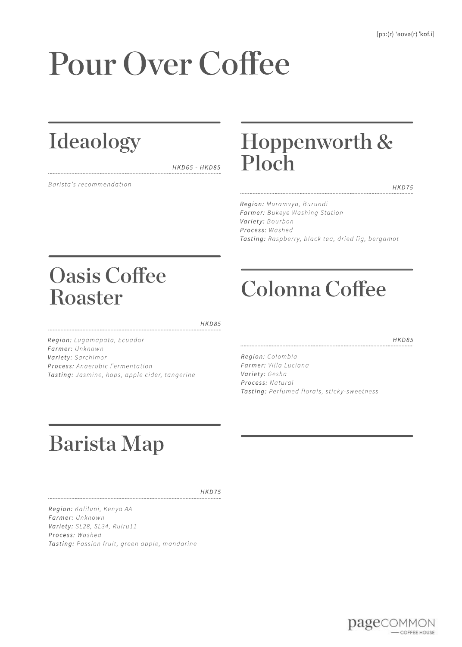# Pour Over Coffee

### Ideaology

*HKD65-HKD85*

**Barista's recommendation** 

### Hoppenworth & Ploch

*HKD75*

*Region:Muramvya,Burundi* **Farmer:** Bukeye Washing Station *Variety:Bourbon Process:Washed Tasting:Raspberry,blacktea,driedfig,bergamot*

### OasisCoffee Roaster

*HKD85*

*Region:Lugamapata,Ecuador Farmer:Unknown Variety:Sarchimor Process:AnaerobicFermentation Tasting:Jasmine,hops,applecider,tangerine*

### ColonnaCoffee

*HKD85*

*Region:Colombia Farmer:VillaLuciana Variety:Gesha Process:Natural* **Tasting:** Perfumed florals, sticky-sweetness

### BaristaMap

*HKD75*

*Region:Kaliluni,KenyaAA Farmer:Unknown Variety:SL28,SL34,Ruiru11 Process:Washed Tasting:Passionfruit,greenapple,mandarine*